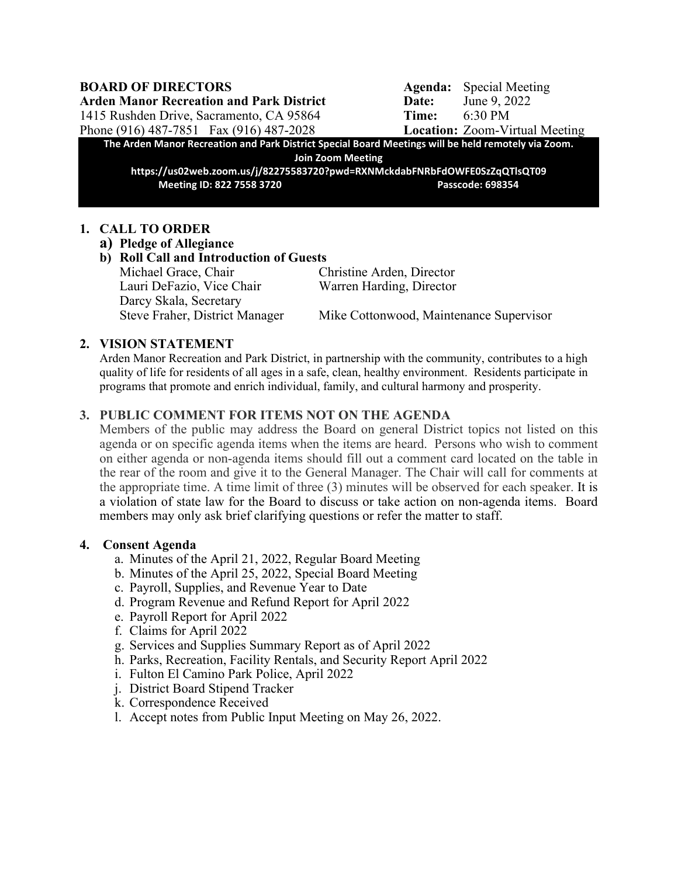**Arden Manor Recreation and Park District Date:** June 9, 2022 1415 Rushden Drive, Sacramento, CA 95864 **Time:** 6:30 PM

**BOARD OF DIRECTORS** Agenda: Special Meeting Phone (916) 487-7851 Fax (916) 487-2028 **Location:** Zoom-Virtual Meeting

**The Arden Manor Recreation and Park District Special Board Meetings will be held remotely via Zoom. Join Zoom Meeting**

**https://us02web.zoom.us/j/82275583720?pwd=RXNMckdabFNRbFdOWFE0SzZqQTlsQT09 Meeting ID: 822 7558 3720 Passcode: 698354**

#### **1. CALL TO ORDER**

**a) Pledge of Allegiance**

## **b) Roll Call and Introduction of Guests**

Lauri DeFazio, Vice Chair Warren Harding, Director Darcy Skala, Secretary

Michael Grace, Chair Christine Arden, Director

Steve Fraher, District Manager Mike Cottonwood, Maintenance Supervisor

### **2. VISION STATEMENT**

Arden Manor Recreation and Park District, in partnership with the community, contributes to a high quality of life for residents of all ages in a safe, clean, healthy environment. Residents participate in programs that promote and enrich individual, family, and cultural harmony and prosperity.

### **3. PUBLIC COMMENT FOR ITEMS NOT ON THE AGENDA**

Members of the public may address the Board on general District topics not listed on this agenda or on specific agenda items when the items are heard. Persons who wish to comment on either agenda or non-agenda items should fill out a comment card located on the table in the rear of the room and give it to the General Manager. The Chair will call for comments at the appropriate time. A time limit of three (3) minutes will be observed for each speaker. It is a violation of state law for the Board to discuss or take action on non-agenda items. Board members may only ask brief clarifying questions or refer the matter to staff.

#### **4. Consent Agenda**

- a. Minutes of the April 21, 2022, Regular Board Meeting
- b. Minutes of the April 25, 2022, Special Board Meeting
- c. Payroll, Supplies, and Revenue Year to Date
- d. Program Revenue and Refund Report for April 2022
- e. Payroll Report for April 2022
- f. Claims for April 2022
- g. Services and Supplies Summary Report as of April 2022
- h. Parks, Recreation, Facility Rentals, and Security Report April 2022
- i. Fulton El Camino Park Police, April 2022
- j. District Board Stipend Tracker
- k. Correspondence Received
- l. Accept notes from Public Input Meeting on May 26, 2022.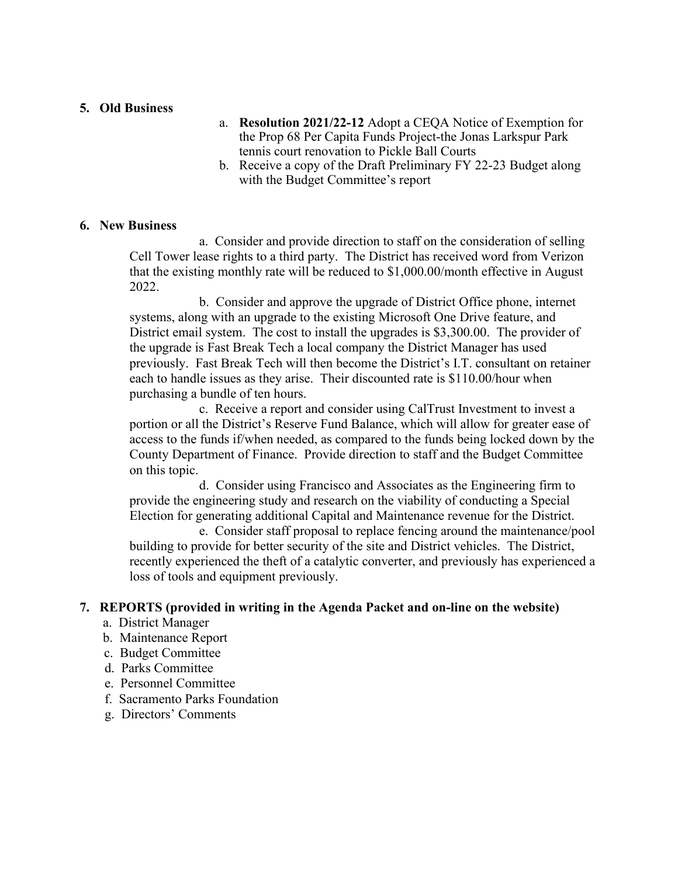#### **5. Old Business**

- a. **Resolution 2021/22-12** Adopt a CEQA Notice of Exemption for the Prop 68 Per Capita Funds Project-the Jonas Larkspur Park tennis court renovation to Pickle Ball Courts
- b. Receive a copy of the Draft Preliminary FY 22-23 Budget along with the Budget Committee's report

#### **6. New Business**

a. Consider and provide direction to staff on the consideration of selling Cell Tower lease rights to a third party. The District has received word from Verizon that the existing monthly rate will be reduced to \$1,000.00/month effective in August 2022.

b. Consider and approve the upgrade of District Office phone, internet systems, along with an upgrade to the existing Microsoft One Drive feature, and District email system. The cost to install the upgrades is \$3,300.00. The provider of the upgrade is Fast Break Tech a local company the District Manager has used previously. Fast Break Tech will then become the District's I.T. consultant on retainer each to handle issues as they arise. Their discounted rate is \$110.00/hour when purchasing a bundle of ten hours.

c. Receive a report and consider using CalTrust Investment to invest a portion or all the District's Reserve Fund Balance, which will allow for greater ease of access to the funds if/when needed, as compared to the funds being locked down by the County Department of Finance. Provide direction to staff and the Budget Committee on this topic.

d. Consider using Francisco and Associates as the Engineering firm to provide the engineering study and research on the viability of conducting a Special Election for generating additional Capital and Maintenance revenue for the District.

e. Consider staff proposal to replace fencing around the maintenance/pool building to provide for better security of the site and District vehicles. The District, recently experienced the theft of a catalytic converter, and previously has experienced a loss of tools and equipment previously.

#### **7. REPORTS (provided in writing in the Agenda Packet and on-line on the website)**

- a. District Manager
- b. Maintenance Report
- c. Budget Committee
- d. Parks Committee
- e. Personnel Committee
- f. Sacramento Parks Foundation
- g. Directors' Comments